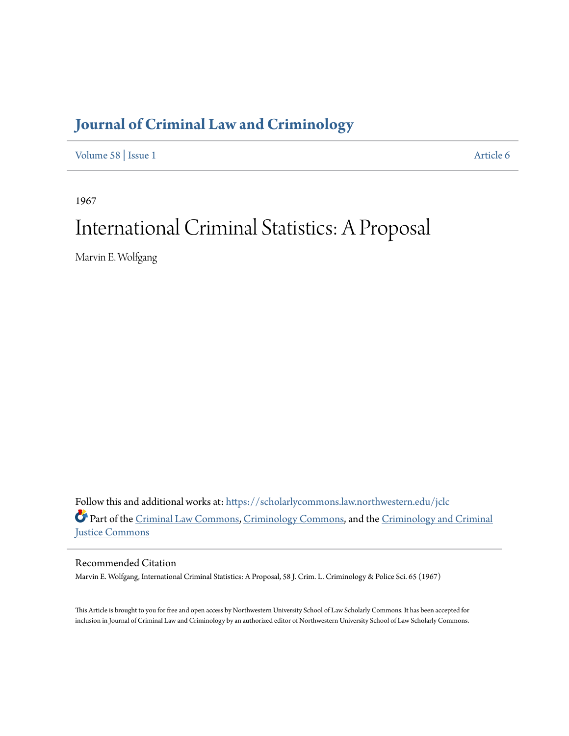## **[Journal of Criminal Law and Criminology](https://scholarlycommons.law.northwestern.edu/jclc?utm_source=scholarlycommons.law.northwestern.edu%2Fjclc%2Fvol58%2Fiss1%2F6&utm_medium=PDF&utm_campaign=PDFCoverPages)**

[Volume 58](https://scholarlycommons.law.northwestern.edu/jclc/vol58?utm_source=scholarlycommons.law.northwestern.edu%2Fjclc%2Fvol58%2Fiss1%2F6&utm_medium=PDF&utm_campaign=PDFCoverPages) | [Issue 1](https://scholarlycommons.law.northwestern.edu/jclc/vol58/iss1?utm_source=scholarlycommons.law.northwestern.edu%2Fjclc%2Fvol58%2Fiss1%2F6&utm_medium=PDF&utm_campaign=PDFCoverPages) [Article 6](https://scholarlycommons.law.northwestern.edu/jclc/vol58/iss1/6?utm_source=scholarlycommons.law.northwestern.edu%2Fjclc%2Fvol58%2Fiss1%2F6&utm_medium=PDF&utm_campaign=PDFCoverPages)

1967

## International Criminal Statistics: A Proposal

Marvin E. Wolfgang

Follow this and additional works at: [https://scholarlycommons.law.northwestern.edu/jclc](https://scholarlycommons.law.northwestern.edu/jclc?utm_source=scholarlycommons.law.northwestern.edu%2Fjclc%2Fvol58%2Fiss1%2F6&utm_medium=PDF&utm_campaign=PDFCoverPages) Part of the [Criminal Law Commons](http://network.bepress.com/hgg/discipline/912?utm_source=scholarlycommons.law.northwestern.edu%2Fjclc%2Fvol58%2Fiss1%2F6&utm_medium=PDF&utm_campaign=PDFCoverPages), [Criminology Commons](http://network.bepress.com/hgg/discipline/417?utm_source=scholarlycommons.law.northwestern.edu%2Fjclc%2Fvol58%2Fiss1%2F6&utm_medium=PDF&utm_campaign=PDFCoverPages), and the [Criminology and Criminal](http://network.bepress.com/hgg/discipline/367?utm_source=scholarlycommons.law.northwestern.edu%2Fjclc%2Fvol58%2Fiss1%2F6&utm_medium=PDF&utm_campaign=PDFCoverPages) [Justice Commons](http://network.bepress.com/hgg/discipline/367?utm_source=scholarlycommons.law.northwestern.edu%2Fjclc%2Fvol58%2Fiss1%2F6&utm_medium=PDF&utm_campaign=PDFCoverPages)

Recommended Citation

Marvin E. Wolfgang, International Criminal Statistics: A Proposal, 58 J. Crim. L. Criminology & Police Sci. 65 (1967)

This Article is brought to you for free and open access by Northwestern University School of Law Scholarly Commons. It has been accepted for inclusion in Journal of Criminal Law and Criminology by an authorized editor of Northwestern University School of Law Scholarly Commons.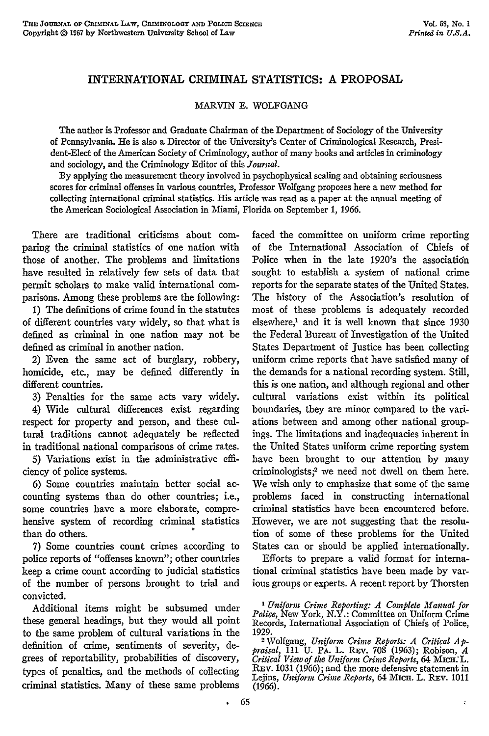## INTERNATIONAL CRIMINAL STATISTICS: **A** PROPOSAL

MARVIN **E.** WOLFGANG

The author is Professor and Graduate Chairman of the Department of Sociology of the University of Pennsylvania. He is also a Director of the University's Center of Criminological Research, President-Elect of the American Society of Criminology, author of many books and articles in criminology and sociology, and the Criminology Editor of this *Journal.*

**By** applying the measurement theory involved in psychophysical scaling and obtaining seriousness scores for criminal offenses in various countries, Professor Wolfgang proposes here a new method for collecting international criminal statistics. **His** article was read as a paper at the annual meeting of the American Sociological Association in Miami, Florida on September 1, 1966.

There are traditional criticisms about comparing the criminal statistics of one nation with those of another. The problems and limitations have resulted in relatively few sets of data that permit scholars to make valid international comparisons. Among these problems are the following:

1) The definitions of crime found in the statutes of different countries vary widely, so that what is defined as criminal in one nation may not be defined as criminal in another nation.

2) Even the same act of burglary, robbery, homicide, etc., may be defined differently in different countries.

3) Penalties for the same acts vary widely.

4) Wide cultural differences exist regarding respect for property and person, and these cultural traditions cannot adequately be reflected in traditional national comparisons of crime rates.

5) Variations exist in the administrative efficiency of police systems.

6) Some countries maintain better social accounting systems than do other countries; i.e., some countries have a more elaborate, comprehensive system of recording criminal statistics than do others.

**7)** Some countries count crimes according to police reports of "offenses known"; other countries keep a crime count according to judicial statistics of the number of persons brought to trial and convicted.

Additional items might be subsumed under these general headings, but they would all point to the same problem of cultural variations in the definition of crime, sentiments of severity, degrees of reportabiity, probabilities of discovery, types of penalties, and the methods of collecting criminal statistics. Many of these same problems

faced the committee on uniform crime reporting of the International Association of Chiefs of Police when in the late 1920's the associatidn sought to establish a system of national crime reports for the separate states of the United States. The history of the Association's resolution of most of these problems is adequately recorded elsewhere,1 and it is well known that since 1930 the Federal Bureau of Investigation of the United States Department of Justice has been collecting uniform crime reports that have satisfied many of the demands for a national recording system. Still, this is one nation, and although regional and other cultural variations exist within its political boundaries, they are minor compared to the variations between and among other national groupings. The limitations and inadequacies inherent in the United States uniform crime reporting system have been brought to our attention by many criminologists;2 we need not dwell on them here. We wish only to emphasize that some of the same problems faced in constructing international criminal statistics have been encountered before. However, we are not suggesting that the resolution of some of these problems for the United States can or should be applied internationally.

Efforts to prepare a valid format for international criminal statistics have been made by various groups or experts. A recent report by Thorsten

 $\overline{z}$ 

*<sup>1</sup> Uniform Crime Reporting: A Complete Manual for Police,* New York, N.Y.: Committee on Uniform Crime Records, International Association of Chiefs of Police,

<sup>1929.</sup> - Wolfgang, *Uniform Crime Reports: A Critical Ap-praisal,* 111 U. PA. L. REv. 708 (1963); Robison, *A Critical View of the Uniform Crime Reports, 64* MIcH:L. PEv. 1031 (1966); and the more defensive statement in Lejins, Uniform Crime Reports, 64 MICH. L. REV. 1011  $(1966).$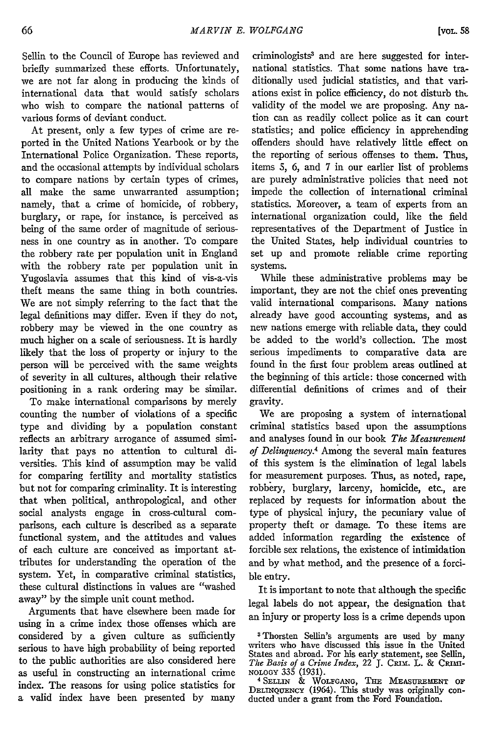Sellin to the Council of Europe has reviewed and briefly summarized these efforts. Unfortunately, we are not far along in producing the kinds of international data that would satisfy scholars who wish to compare the national patterns of various forms of deviant conduct.

At present, only a few types of crime are reported in the United Nations Yearbook or by the International Police Organization. These reports, and the occasional attempts by individual scholars to compare nations by certain types of crimes, all make the same unwarranted assumption; namely, that a crime of homicide, of robbery, burglary, or rape, for instance, is perceived as being of the same order of magnitude of seriousness in one country as in another. To compare the robbery rate per population unit in England with the robbery rate per population unit in Yugoslavia assumes that this kind of vis-a-vis theft means the same thing in both countries. We are not simply referring to the fact that the legal definitions may differ. Even if they do not, robbery may be viewed in the one country as much higher on a scale of seriousness. It is hardly likely that the loss of property or injury to the person will be perceived with the same weights of severity in all cultures, although their relative positioning in a rank ordering may be similar.

To make international comparisons by merely counting the number of violations of a specific type and dividing by a population constant reflects an arbitrary arrogance of assumed similarity that pays no attention to cultural diversities. This kind of assumption may be valid for comparing fertility and mortality statistics but not for comparing criminality. It is interesting that when political, anthropological, and other social analysts engage in cross-cultural comparisons, each culture is described as a separate functional system, and the attitudes and values of each culture are conceived as important attributes for understanding the operation of the system. Yet, in comparative criminal statistics, these cultural distinctions in values are "washed away" by the simple unit count method.

Arguments that have elsewhere been made for using in a crime index those offenses which are considered by a given culture as sufficiently serious to have high probability of being reported to the public authorities are also considered here as useful in constructing an international crime index. The reasons for using police statistics for a valid index have been presented by many

criminologists<sup>3</sup> and are here suggested for international statistics. That some nations have traditionally used judicial statistics, and that variations exist in police efficiency, do not disturb tht. validity of the model we are proposing. Any nation can as readily collect police as it can court statistics; and police efficiency in apprehending offenders should have relatively little effect on the reporting of serious offenses to them. Thus, items 5, 6, and 7 in our earlier list of problems are purely administrative policies that need not impede the collection of international criminal statistics. Moreover, a team of experts from an international organization could, like the field representatives of the Department of Justice in the United States, help individual countries to set up and promote reliable crime reporting systems.

While these administrative problems may be important, they are not the chief ones preventing valid international comparisons. Many nations already have good accounting systems, and as new nations emerge with reliable data, they could be added to the world's collection. The most serious impediments to comparative data are found in the first four problem areas outlined at the beginning of this article: those concerned with differential definitions of crimes and of their gravity.

We are proposing a system of international criminal statistics based upon the assumptions and analyses found in our book *The Measurement of Delinquency.4* Among the several main features of this system is the elimination of legal labels for measurement purposes. Thus, as noted, rape, robbery, burglary, larceny, homicide, etc., are replaced by requests for information about the type of physical injury, the pecuniary value of property theft or damage. To these items are added information regarding the existence of forcible sex relations, the existence of intimidation and by what method, and the presence of a forcible entry.

It is important to note that although the specific legal labels do not appear, the designation that an injury or property loss is a crime depends upon

<sup>3</sup>Thorsten Sellin's arguments are used by many writers who have discussed this issue in the United States and abroad. For his early statement, see Sellin, *The Basis of a Crime Index,* 22 **J.** Calm. L. & CRIMI-**NOLOGY** 335 (1931).

<sup>4</sup> SELLIx & WOLFGANG, Tim **MEASUREMENT OF DELINQUENCY** (1964). This study was originally con- ducted under a grant from the Ford Foundation.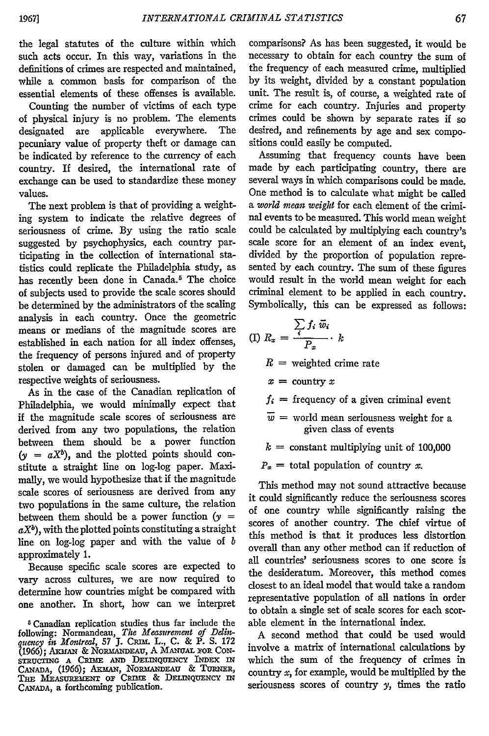the legal statutes of the culture within which such acts occur. In this way, variations in the definitions of crimes are respected and maintained, while a common basis for comparison of the essential elements of these offenses is available.

Counting the number of victims of each type of physical injury is no problem. The elements designated are applicable everywhere. The pecuniary value of property theft or damage can be indicated by reference to the currency of each country. If desired, the international rate of exchange can be used to standardize these money values.

The next problem is that of providing a weighting system to indicate the relative degrees of seriousness of crime. By using the ratio scale suggested by psychophysics, each country participating in the collection of international statistics could replicate the Philadelphia study, as has recently been done in Canada.<sup>5</sup> The choice of subjects used to provide the scale scores should be determined by the administrators of the scaling analysis in each country. Once the geometric means or medians of the magnitude scores are established in each nation for all index offenses, the frequency of persons injured and of property stolen or damaged can be multiplied by the respective weights of seriousness.

As in the case of the Canadian replication of Philadelphia, we would minimally expect that if the magnitude scale scores of seriousness are derived from any two populations, the relation between them should be a power function  $(y = aX<sup>b</sup>)$ , and the plotted points should constitute a straight line on log-log paper. Maximally, we would hypothesize that if the magnitude scale scores of seriousness are derived from any two populations in the same culture, the relation between them should be a power function  $(y =$ *aXb),* with the plotted points constituting a straight line on log-log paper and with the value of b approximately **1.**

Because specific scale scores are expected to vary across cultures, we are now required to determine how countries might be compared with one another. In short, how can we interpret

comparisons? As has been suggested, it would be necessary to obtain for each country the sum of the frequency of each measured crime, multiplied by its weight, divided by a constant population unit. The result is, of course, a weighted rate of crime for each country. Injuries and property crimes could be shown **by** separate rates if so desired, and refinements by age and sex compositions could easily be computed.

Assuming that frequency counts have been made by each participating country, there are several ways in which comparisons could be made. One method is to calculate what might be called a *world mean weight* for each clement of the criminal events to be measured. This world mean weight could be calculated by multiplying each country's scale score for an element of an index event, divided by the proportion of population represented by each country. The sum of these figures would result in the world mean weight for each criminal element to be applied in each country. Symbolically, this can be expressed as follows:

(I) 
$$
R_x = \frac{\sum_i f_i \overline{w}_i}{P_x} \cdot k
$$

- $R =$  weighted crime rate
- $x =$  country  $x$
- $f_i$  = frequency of a given criminal event
- $\overline{w}$  = world mean seriousness weight for a **given class of** events
- $k =$  constant multiplying unit of 100,000
- $P_x$  = total population of country x.

This method may not sound attractive because it could significantly reduce the seriousness scores of one country while significantly raising the scores of another country. The chief virtue of this method is that it produces less distortion overall than any other method can if reduction of all countries' seriousness scores to one score is the desideratum. Moreover, this method comes closest to an ideal model that would take a random representative population of all nations in order to obtain a single set of scale scores for each scorable element in the international index.

**A** second method that could be used would involve a matrix of international calculations by which the sum of the frequency of crimes in country  $x$ , for example, would be multiplied by the seriousness scores of country **y,** times the ratio

**<sup>5</sup>** Canadian replication studies thus far include the following: Normandeau, *The Measurement of Ddin-ueicy in Montreal,* 57 **J.** Cxn. L., **C.** & P. **S.** <sup>172</sup> 1966); *AxrAN* **&** NORMANDEAU, **A MANUAL FOR CON-**STRUCTING A CRIME AND DELINQUENCY INDEX IN CANADA, (1966); AKMAN, NORMANDEAU & TURNER,<br>The Measurement of Crime & Delinquency in **CANADA,** a forthcoming publication.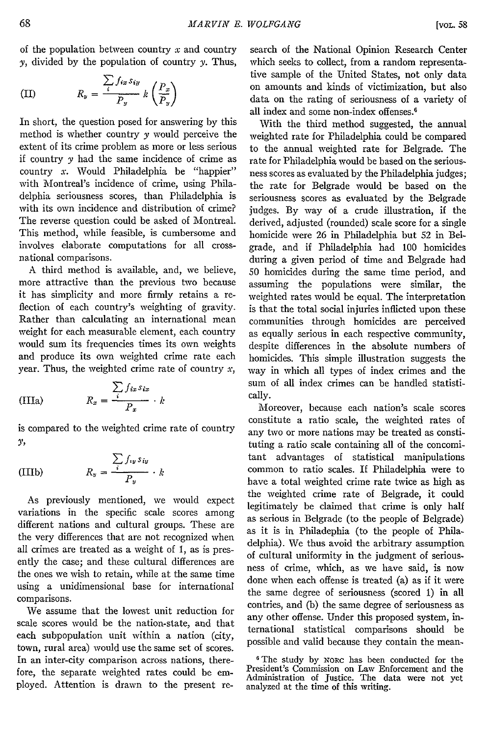of the population between country  $x$  and country y, divided by the population of country y. Thus,

(II) 
$$
R_y = \frac{\sum_i f_{ix} s_{iy}}{P_y} k \left( \frac{P_x}{P_y} \right)
$$

In short, the question posed for answering by this method is whether country  $y$  would perceive the extent of its crime problem as more or less serious if country  $\nu$  had the same incidence of crime as country x. Would Philadelphia be "happier" with Montreal's incidence of crime, using Philadelphia seriousness scores, than Philadelphia is with its own incidence and distribution of crime? The reverse question could be asked of Montreal. This method, while feasible, is cumbersome and involves elaborate computations for all crossnational comparisons.

A third method is available, and, we believe, more attractive than the previous two because it has simplicity and more firmly retains a reflection of each country's weighting of gravity. Rather than calculating an international mean weight for each measurable element, each country would sum its frequencies times its own weights and produce its own weighted crime rate each year. Thus, the weighted crime rate of country  $x$ ,

(IIIa) 
$$
R_x = \frac{\sum_i f_{ix} s_{ix}}{P_x} \cdot k
$$

is compared to the weighted crime rate of country **Y,**

(IIIb) 
$$
R_y = \frac{\sum_i f_{iy} s_{iy}}{P_y} \cdot k
$$

As previously mentioned, we would expect variations in the specific scale scores among different nations and cultural groups. These are the very differences that are not recognized when all crimes are treated as a weight of 1, as is presently the case; and these cultural differences are the ones we wish to retain, while at the same time using a unidimensional base for international comparisons.

We assume that the lowest unit reduction for scale scores would be the nation-state, and that each subpopulation unit within a nation (city, town, rural area) would use the same set of scores. In an inter-city comparison across nations, therefore, the separate weighted rates could be employed. Attention is drawn to the present re-

search of the National Opinion Research Center which seeks to collect, from a random representative sample of the United States, not only data on amounts and kinds of victimization, but also data on the rating of seriousness of a variety of all index and some non-index offenses. <sup>6</sup>

With the third method suggested, the annual weighted rate for Philadelphia could be compared to the annual weighted rate for Belgrade. The rate for Philadelphia would be based on the seriousness scores as evaluated by the Philadelphia judges; the rate for Belgrade would be based on the seriousness scores as evaluated by the Belgrade judges. By way of a crude illustration, if the derived, adjusted (rounded) scale score for a single homicide were 26 in Philadelphia but 52 in Belgrade, and if Philadelphia had 100 homicides during a given period of time and Belgrade had 50 homicides during the same time period, and assuming the populations were similar, the weighted rates would be equal. The interpretation is that the total social injuries inflicted upon these communities through homicides are perceived as equally serious in each respective community, despite differences in the absolute numbers of homicides. This simple illustration suggests the way in which all types of index crimes and the sum of all index crimes can be handled statistically.

Moreover, because each nation's scale scores constitute a ratio scale, the weighted rates of any two or more nations may be treated as constituting a ratio scale containing all of the concomitant advantages of statistical manipulations common to ratio scales. If Philadelphia were to have a total weighted crime rate twice as high as the weighted crime rate of Belgrade, it could legitimately be claimed that crime is only half as serious in Belgrade (to the people of Belgrade) as it is in Philadephia (to the people of Philadelphia). We thus avoid the arbitrary assumption of cultural uniformity in the judgment of seriousness of crime, which, as we have said, is now done when each offense is treated (a) as if it were the same degree of seriousness (scored 1) in all contries, and (b) the same degree of seriousness as any other offense. Under this proposed system, international statistical comparisons should be possible and valid because they contain the mean-

**6** The study by NoRc has been conducted for the President's Commission on Law Enforcement and the Administration of Justice. The data were not yet analyzed at the time of this writing.